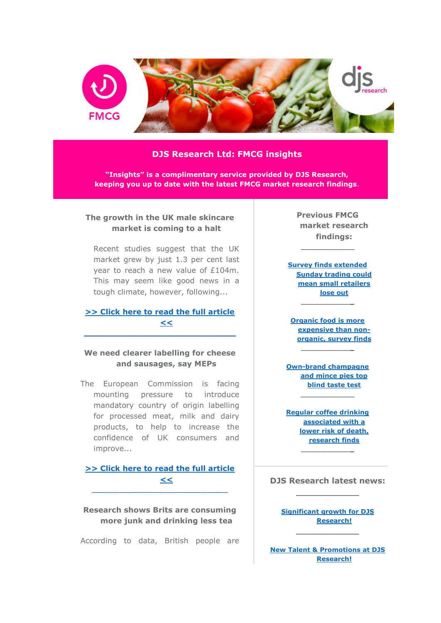

#### **DJS Research Ltd: FMCG insights**

**"Insights" is a complimentary service provided by DJS Research, keeping you up to date with the latest FMCG market research findings**.

### **The growth in the UK male skincare market is coming to a halt**

Recent studies suggest that the UK market grew by just 1.3 per cent last year to reach a new value of £104m. This may seem like good news in a tough climate, however, following...

## **[>> Click here to read the full article](http://www.djsresearch.co.uk/FMCGMarketResearchInsightsAndFindings/article/The-growth-in-the-UK-male-skincare-market-is-coming-to-a-halt-03188)  [<<](http://www.djsresearch.co.uk/FMCGMarketResearchInsightsAndFindings/article/The-growth-in-the-UK-male-skincare-market-is-coming-to-a-halt-03188) \_\_\_\_\_\_\_\_\_\_\_\_\_\_\_\_\_\_\_\_\_\_\_\_\_\_\_\_\_\_\_\_\_\_\_**

# **We need clearer labelling for cheese and sausages, say MEPs**

The European Commission is facing mounting pressure to introduce mandatory country of origin labelling for processed meat, milk and dairy products, to help to increase the confidence of UK consumers and improve...

**[>> Click here to read the full article](http://www.djsresearch.co.uk/FMCGMarketResearchInsightsAndFindings/article/We-need-clearer-labelling-for-cheese-and-sausages-say-MEPs-03133)  [<<](http://www.djsresearch.co.uk/FMCGMarketResearchInsightsAndFindings/article/We-need-clearer-labelling-for-cheese-and-sausages-say-MEPs-03133)**  $\_$  ,  $\_$  ,  $\_$  ,  $\_$  ,  $\_$  ,  $\_$  ,  $\_$  ,  $\_$  ,  $\_$  ,  $\_$  ,  $\_$  ,  $\_$  ,  $\_$  ,  $\_$ 

**Research shows Brits are consuming more junk and drinking less tea**

According to data, British people are

**Previous FMCG market research findings:**

**[Survey finds extended](http://www.djsresearch.co.uk/RetailMarketResearchInsightsAndFindings/article/Survey-funds-extended-Sunday-trading-could-mean-small-retailers-lose-out-02981)  [Sunday trading could](http://www.djsresearch.co.uk/RetailMarketResearchInsightsAndFindings/article/Survey-funds-extended-Sunday-trading-could-mean-small-retailers-lose-out-02981)  [mean small retailers](http://www.djsresearch.co.uk/RetailMarketResearchInsightsAndFindings/article/Survey-funds-extended-Sunday-trading-could-mean-small-retailers-lose-out-02981)  [lose out](http://www.djsresearch.co.uk/RetailMarketResearchInsightsAndFindings/article/Survey-funds-extended-Sunday-trading-could-mean-small-retailers-lose-out-02981) \_\_\_\_\_\_\_\_\_\_\_\_**

**\_\_\_\_\_\_\_\_\_\_\_\_**

**[Organic food is more](http://www.djsresearch.co.uk/RetailMarketResearchInsightsAndFindings/article/Organic-food-is-more-expensive-than-non-organic-survey-finds-02918)  [expensive than non](http://www.djsresearch.co.uk/RetailMarketResearchInsightsAndFindings/article/Organic-food-is-more-expensive-than-non-organic-survey-finds-02918)[organic, survey finds](http://www.djsresearch.co.uk/RetailMarketResearchInsightsAndFindings/article/Organic-food-is-more-expensive-than-non-organic-survey-finds-02918)**

**[Own-brand champagne](http://www.djsresearch.co.uk/FMCGMarketResearchInsightsAndFindings/article/Own-brand-champagne-and-mince-pies-top-blind-taste-test-02819)  [and mince pies top](http://www.djsresearch.co.uk/FMCGMarketResearchInsightsAndFindings/article/Own-brand-champagne-and-mince-pies-top-blind-taste-test-02819)  [blind taste test](http://www.djsresearch.co.uk/FMCGMarketResearchInsightsAndFindings/article/Own-brand-champagne-and-mince-pies-top-blind-taste-test-02819)**

**\_\_\_\_\_\_\_\_\_\_\_\_**

**\_\_\_\_\_\_\_\_\_\_\_\_**

**[Regular coffee drinking](http://www.djsresearch.co.uk/FMCGMarketResearchInsightsAndFindings/article/Regular-coffee-drinking-associated-with-a-lower-risk-of-death-research-finds-02731)  [associated with a](http://www.djsresearch.co.uk/FMCGMarketResearchInsightsAndFindings/article/Regular-coffee-drinking-associated-with-a-lower-risk-of-death-research-finds-02731)  [lower risk of death,](http://www.djsresearch.co.uk/FMCGMarketResearchInsightsAndFindings/article/Regular-coffee-drinking-associated-with-a-lower-risk-of-death-research-finds-02731)  [research finds](http://www.djsresearch.co.uk/FMCGMarketResearchInsightsAndFindings/article/Regular-coffee-drinking-associated-with-a-lower-risk-of-death-research-finds-02731) \_\_\_\_\_\_\_\_\_\_\_\_**

**DJS Research latest news: \_\_\_\_\_\_\_\_\_\_\_\_**

**[Significant growth for DJS](http://www.djsresearch.co.uk/news/article/Significant-growth-for-DJS-Research)  [Research!](http://www.djsresearch.co.uk/news/article/Significant-growth-for-DJS-Research) \_\_\_\_\_\_\_\_\_\_\_\_**

**[New Talent & Promotions at DJS](http://www.djsresearch.co.uk/news/article/New-Talent-Promotions-at-DJS-Research)  [Research!](http://www.djsresearch.co.uk/news/article/New-Talent-Promotions-at-DJS-Research)**